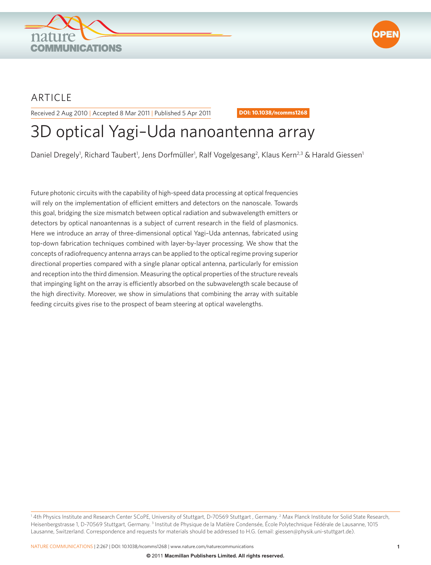



## ARTICLE

Received 2 Aug 2010 | Accepted 8 Mar 2011 | Published 5 Apr 2011 **DOI: 10.1038/ncomms1268**

# 3D optical Yagi–Uda nanoantenna array

Daniel Dregely<sup>1</sup>, Richard Taubert<sup>1</sup>, Jens Dorfmüller<sup>1</sup>, Ralf Vogelgesang<sup>2</sup>, Klaus Kern<sup>2,3</sup> & Harald Giessen<sup>1</sup>

Future photonic circuits with the capability of high-speed data processing at optical frequencies will rely on the implementation of efficient emitters and detectors on the nanoscale. Towards this goal, bridging the size mismatch between optical radiation and subwavelength emitters or detectors by optical nanoantennas is a subject of current research in the field of plasmonics. Here we introduce an array of three-dimensional optical Yagi–Uda antennas, fabricated using top-down fabrication techniques combined with layer-by-layer processing. We show that the concepts of radiofrequency antenna arrays can be applied to the optical regime proving superior directional properties compared with a single planar optical antenna, particularly for emission and reception into the third dimension. Measuring the optical properties of the structure reveals that impinging light on the array is efficiently absorbed on the subwavelength scale because of the high directivity. Moreover, we show in simulations that combining the array with suitable feeding circuits gives rise to the prospect of beam steering at optical wavelengths.

<sup>1</sup> 4th Physics Institute and Research Center SCoPE, University of Stuttgart, D-70569 Stuttgart , Germany. <sup>2</sup> Max Planck Institute for Solid State Research, Heisenbergstrasse 1, D-70569 Stuttgart, Germany. <sup>3</sup> Institut de Physique de la Matière Condensée, École Polytechnique Fédérale de Lausanne, 1015 Lausanne, Switzerland. Correspondence and requests for materials should be addressed to H.G. (email: giessen@physik.uni-stuttgart.de).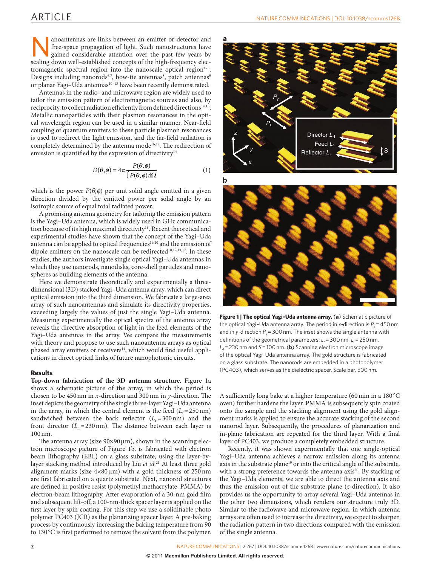anoantennas are links between an emitter or detector and<br>free-space propagation of light. Such nanostructures have<br>gained considerable attention over the past few years by<br>scaling down well-established concents of the high free-space propagation of light. Such nanostructures have gained considerable attention over the past few years by scaling down well-established concepts of the high-frequency electromagnetic spectral region into the nanoscale optical region<sup>1-5</sup>. Designs including nanorods<sup>6,7</sup>, bow-tie antennas<sup>[8](#page-5-0)</sup>, patch antennas<sup>9</sup> or planar Yagi-Uda antennas<sup>10-13</sup> have been recently demonstrated.

Antennas in the radio- and microwave region are widely used to tailor the emission pattern of electromagnetic sources and also, by reciprocity, to collect radiation efficiently from defined directions<sup>14,15</sup>. Metallic nanoparticles with their plasmon resonances in the optical wavelength region can be used in a similar manner. Near-field coupling of quantum emitters to these particle plasmon resonances is used to redirect the light emission, and the far-field radiation is completely determined by the antenna mode<sup>16,17</sup>. The redirection of emission is quantified by the expression of directivity $14$ 

$$
D(\theta, \phi) = 4\pi \frac{P(\theta, \phi)}{\int P(\theta, \phi) d\Omega}
$$
 (1)

which is the power  $P(\theta, \phi)$  per unit solid angle emitted in a given direction divided by the emitted power per solid angle by an isotropic source of equal total radiated power.

A promising antenna geometry for tailoring the emission pattern is the Yagi–Uda antenna, which is widely used in GHz communication because of its high maximal directivity<sup>18</sup>. Recent theoretical and experimental studies have shown that the concept of the Yagi–Uda antenna can be applied to optical frequencies<sup>19,20</sup> and the emission of dipole emitters on the nanoscale can be redirected<sup>10,12,13,17</sup>. In these studies, the authors investigate single optical Yagi–Uda antennas in which they use nanorods, nanodisks, core-shell particles and nanospheres as building elements of the antenna.

Here we demonstrate theoretically and experimentally a threedimensional (3D) stacked Yagi–Uda antenna array, which can direct optical emission into the third dimension. We fabricate a large-area array of such nanoantennas and simulate its directivity properties, exceeding largely the values of just the single Yagi–Uda antenna. Measuring experimentally the optical spectra of the antenna array reveals the directive absorption of light in the feed elements of the Yagi–Uda antennas in the array. We compare the measurements with theory and propose to use such nanoantenna arrays as optical phased array emitters or receivers<sup>[14](#page-5-2)</sup>, which would find useful applications in direct optical links of future nanophotonic circuits.

#### **Results**

**Top-down fabrication of the 3D antenna structure**. [Figure 1a](#page-1-0) shows a schematic picture of the array, in which the period is chosen to be 450nm in *x*-direction and 300nm in *y*-direction. The inset depicts the geometry of the single three-layer Yagi–Uda antenna in the array, in which the central element is the feed  $(L_f=250 \text{ nm})$ sandwiched between the back reflector  $(L_r=300 \text{ nm})$  and the front director  $(L_d = 230 \text{ nm})$ . The distance between each layer is 100nm.

The antenna array (size  $90\times90 \,\mu$ m), shown in the scanning electron microscope picture of [Figure 1b,](#page-1-0) is fabricated with electron beam lithography (EBL) on a glass substrate, using the layer-bylayer stacking method introduced by Liu *et al.*[21](#page-5-4) At least three gold alignment marks (size  $4\times80 \,\mu$ m) with a gold thickness of 250 nm are first fabricated on a quartz substrate. Next, nanorod structures are defined in positive resist (polymethyl methacrylate, PMMA) by electron-beam lithography. After evaporation of a 30-nm gold film and subsequent lift-off, a 100-nm-thick spacer layer is applied on the first layer by spin coating. For this step we use a solidifiable photo polymer PC403 (JCR) as the planarizing spacer layer. A pre-baking process by continuously increasing the baking temperature from 90 to 130 °C is first performed to remove the solvent from the polymer.





<span id="page-1-0"></span>**Figure 1 | The optical Yagi–Uda antenna array.** (**a**) Schematic picture of the optical Yagi-Uda antenna array. The period in *x*-direction is  $P<sub>x</sub> = 450$  nm and in *y*-direction *P<sub>y</sub>*=300 nm. The inset shows the single antenna with definitions of the geometrical parameters: *L<sub>r</sub>*=300 nm, *L<sub>t</sub>*=250 nm,  $L_d$  = 230 nm and *S* = 100 nm. (**b**) Scanning electron microscope image of the optical Yagi–Uda antenna array. The gold structure is fabricated on a glass substrate. The nanorods are embedded in a photopolymer (PC403), which serves as the dielectric spacer. Scale bar, 500nm.

A sufficiently long bake at a higher temperature (60min in a 180 °C oven) further hardens the layer. PMMA is subsequently spin coated onto the sample and the stacking alignment using the gold alignment marks is applied to ensure the accurate stacking of the second nanorod layer. Subsequently, the procedures of planarization and in-plane fabrication are repeated for the third layer. With a final layer of PC403, we produce a completely embedded structure.

Recently, it was shown experimentally that one single-optical Yagi–Uda antenna achieves a narrow emission along its antenna axis in the substrate plane<sup>19</sup> or into the critical angle of the substrate, with a strong preference towards the antenna axis<sup>20</sup>. By stacking of the Yagi–Uda elements, we are able to direct the antenna axis and thus the emission out of the substrate plane (*z*-direction). It also provides us the opportunity to array several Yagi–Uda antennas in the other two dimensions, which renders our structure truly 3D. Similar to the radiowave and microwave region, in which antenna arrays are often used to increase the directivity, we expect to sharpen the radiation pattern in two directions compared with the emission of the single antenna.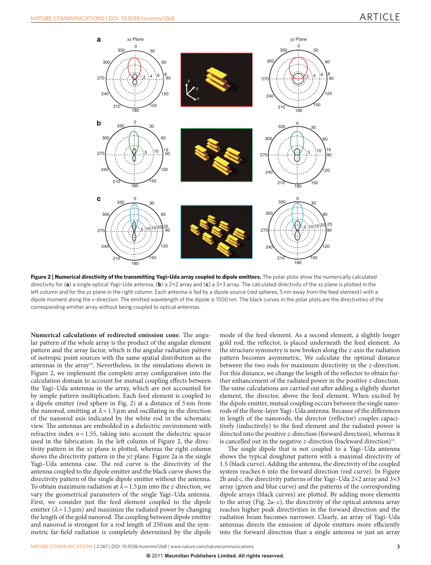

<span id="page-2-0"></span>**Figure 2 | Numerical directivity of the transmitting Yagi–Uda array coupled to dipole emitters.** The polar plots show the numerically calculated directivity for (**a**) a single optical Yagi–Uda antenna, (**b**) a 2×2 array and (**c**) a 3×3 array. The calculated directivity of the *xz* plane is plotted in the left column and for the *yz* plane in the right column. Each antenna is fed by a dipole source (red spheres, 5nm away from the feed element) with a dipole moment along the *x*-direction. The emitted wavelength of the dipole is 1500nm. The black curves in the polar plots are the directivities of the corresponding emitter array without being coupled to optical antennas.

**Numerical calculations of redirected emission cone**. The angular pattern of the whole array is the product of the angular element pattern and the array factor, which is the angular radiation pattern of isotropic point sources with the same spatial distribution as the antennas in the array<sup>14</sup>. Nevertheless, in the simulations shown in [Figure 2,](#page-2-0) we implement the complete array configuration into the calculation domain to account for mutual coupling effects between the Yagi–Uda antennas in the array, which are not accounted for by simple pattern multiplication. Each feed element is coupled to a dipole emitter (red sphere in [Fig. 2](#page-2-0)) at a distance of 5nm from the nanorod, emitting at  $\lambda = 1.5 \,\mu\text{m}$  and oscillating in the direction of the nanorod axis indicated by the white rod in the schematic view. The antennas are embedded in a dielectric environment with refractive index  $n = 1.55$ , taking into account the dielectric spacer used in the fabrication. In the left column of [Figure 2,](#page-2-0) the directivity pattern in the *xz* plane is plotted, whereas the right column shows the directivity pattern in the *yz* plane. [Figure 2a](#page-2-0) is the single Yagi–Uda antenna case. The red curve is the directivity of the antenna coupled to the dipole emitter and the black curve shows the directivity pattern of the single dipole emitter without the antenna. To obtain maximum radiation at  $\lambda$  = 1.5 µm into the *z*-direction, we vary the geometrical parameters of the single Yagi–Uda antenna. First, we consider just the feed element coupled to the dipole emitter ( $\lambda$ =1.5µm) and maximize the radiated power by changing the length of the gold nanorod. The coupling between dipole emitter and nanorod is strongest for a rod length of 250nm and the symmetric far-field radiation is completely determined by the dipole

mode of the feed element. As a second element, a slightly longer gold rod, the reflector, is placed underneath the feed element. As the structure symmetry is now broken along the *z*-axis the radiation pattern becomes asymmetric. We calculate the optimal distance between the two rods for maximum directivity in the *z*-direction. For this distance, we change the length of the reflector to obtain further enhancement of the radiated power in the positive *z*-direction. The same calculations are carried out after adding a slightly shorter element, the director, above the feed element. When excited by the dipole emitter, mutual coupling occurs between the single nanorods of the three-layer Yagi–Uda antenna. Because of the differences in length of the nanorods, the director (reflector) couples capacitively (inductively) to the feed element and the radiated power is directed into the positive *z*-direction (forward direction), whereas it is cancelled out in the negative *z*-direction (backward direction)<sup>[11](#page-5-7)</sup>.

The single dipole that is not coupled to a Yagi–Uda antenna shows the typical doughnut pattern with a maximal directivity of 1.5 (black curve). Adding the antenna, the directivity of the coupled system reaches 6 into the forward direction (red curve). In [Figure](#page-2-0)  [2b and c,](#page-2-0) the directivity patterns of the Yagi-Uda  $2\times 2$  array and  $3\times 3$ array (green and blue curve) and the patterns of the corresponding dipole arrays (black curves) are plotted. By adding more elements to the array ([Fig. 2a–c\)](#page-2-0), the directivity of the optical antenna array reaches higher peak directivities in the forward direction and the radiation beam becomes narrower. Clearly, an array of Yagi–Uda antennas directs the emission of dipole emitters more efficiently into the forward direction than a single antenna or just an array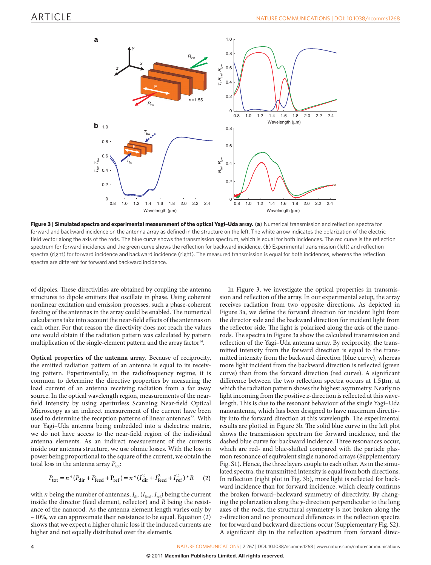

<span id="page-3-0"></span>**Figure 3 | Simulated spectra and experimental measurement of the optical Yagi–Uda array.** (**a**) Numerical transmission and reflection spectra for forward and backward incidence on the antenna array as defined in the structure on the left. The white arrow indicates the polarization of the electric field vector along the axis of the rods. The blue curve shows the transmission spectrum, which is equal for both incidences. The red curve is the reflection spectrum for forward incidence and the green curve shows the reflection for backward incidence. (**b**) Experimental transmission (left) and reflection spectra (right) for forward incidence and backward incidence (right). The measured transmission is equal for both incidences, whereas the reflection spectra are different for forward and backward incidence.

of dipoles. These directivities are obtained by coupling the antenna structures to dipole emitters that oscillate in phase. Using coherent nonlinear excitation and emission processes, such a phase-coherent feeding of the antennas in the array could be enabled. The numerical calculations take into account the near-field effects of the antennas on each other. For that reason the directivity does not reach the values one would obtain if the radiation pattern was calculated by pattern multiplication of the single-element pattern and the array factor<sup>14</sup>.

**Optical properties of the antenna array**. Because of reciprocity, the emitted radiation pattern of an antenna is equal to its receiving pattern. Experimentally, in the radiofrequency regime, it is common to determine the directive properties by measuring the load current of an antenna receiving radiation from a far away source. In the optical wavelength region, measurements of the nearfield intensity by using aperturless Scanning Near-field Optical Microscopy as an indirect measurement of the current have been used to determine the reception patterns of linear antennas<sup>22</sup>. With our Yagi–Uda antenna being embedded into a dielectric matrix, we do not have access to the near-field region of the individual antenna elements. As an indirect measurement of the currents inside our antenna structure, we use ohmic losses. With the loss in power being proportional to the square of the current, we obtain the total loss in the antenna array  $P_{\text{tot}}$ :

$$
P_{\text{tot}} = n^* (P_{\text{dir}} + P_{\text{feed}} + P_{\text{ref}}) = n^* (I_{\text{dir}}^2 + I_{\text{feed}}^2 + I_{\text{ref}}^2)^* R \tag{2}
$$

with *n* being the number of antennas,  $I_{\text{dir}}$  ( $I_{\text{feed}}$ ,  $I_{\text{ref}}$ ) being the current inside the director (feed element, reflector) and *R* being the resistance of the nanorod. As the antenna element length varies only by  $\sim$ 10%, we can approximate their resistance to be equal. Equation (2) shows that we expect a higher ohmic loss if the induced currents are higher and not equally distributed over the elements.

In [Figure 3,](#page-3-0) we investigate the optical properties in transmission and reflection of the array. In our experimental setup, the array receives radiation from two opposite directions. As depicted in [Figure 3a,](#page-3-0) we define the forward direction for incident light from the director side and the backward direction for incident light from the reflector side. The light is polarized along the axis of the nanorods. The spectra in [Figure 3a](#page-3-0) show the calculated transmission and reflection of the Yagi–Uda antenna array. By reciprocity, the transmitted intensity from the forward direction is equal to the transmitted intensity from the backward direction (blue curve), whereas more light incident from the backward direction is reflected (green curve) than from the forward direction (red curve). A significant difference between the two reflection spectra occurs at 1.5µm, at which the radiation pattern shows the highest asymmetry. Nearly no light incoming from the positive *z*-direction is reflected at this wavelength. This is due to the resonant behaviour of the single Yagi–Uda nanoantenna, which has been designed to have maximum directivity into the forward direction at this wavelength. The experimental results are plotted in [Figure 3b.](#page-3-0) The solid blue curve in the left plot shows the transmission spectrum for forward incidence, and the dashed blue curve for backward incidence. Three resonances occur, which are red- and blue-shifted compared with the particle plasmon resonance of equivalent single nanorod arrays (Supplementary Fig. S1). Hence, the three layers couple to each other. As in the simulated spectra, the transmitted intensity is equal from both directions. In reflection (right plot in [Fig. 3b\)](#page-3-0), more light is reflected for backward incidence than for forward incidence, which clearly confirms the broken forward–backward symmetry of directivity. By changing the polarization along the *y*-direction perpendicular to the long axes of the rods, the structural symmetry is not broken along the *z*-direction and no pronounced differences in the reflection spectra for forward and backward directions occur (Supplementary Fig. S2). A significant dip in the reflection spectrum from forward direc-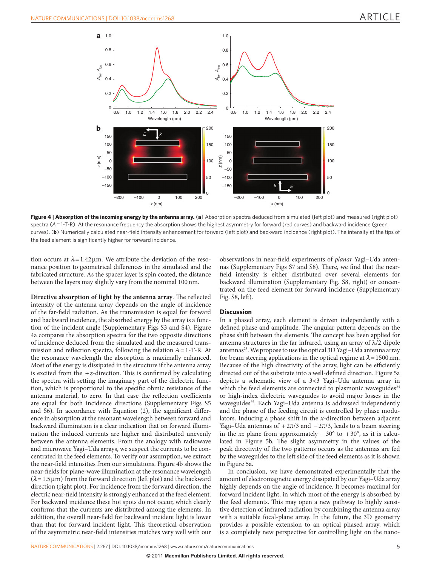

<span id="page-4-0"></span>**Figure 4 | Absorption of the incoming energy by the antenna array.** (**a**) Absorption spectra deduced from simulated (left plot) and measured (right plot) spectra (*A*=1-T-R). At the resonance frequency the absorption shows the highest asymmetry for forward (red curves) and backward incidence (green curves). (**b**) Numerically calculated near-field intensity enhancement for forward (left plot) and backward incidence (right plot). The intensity at the tips of the feed element is significantly higher for forward incidence.

tion occurs at  $\lambda = 1.42 \,\mu$ m. We attribute the deviation of the resonance position to geometrical differences in the simulated and the fabricated structure. As the spacer layer is spin coated, the distance between the layers may slightly vary from the nominal 100nm.

**Directive absorption of light by the antenna array**. The reflected intensity of the antenna array depends on the angle of incidence of the far-field radiation. As the transmission is equal for forward and backward incidence, the absorbed energy by the array is a function of the incident angle (Supplementary Figs S3 and S4). [Figure](#page-4-0)  [4a](#page-4-0) compares the absorption spectra for the two opposite directions of incidence deduced from the simulated and the measured transmission and reflection spectra, following the relation *A*=1-T-R. At the resonance wavelength the absorption is maximally enhanced. Most of the energy is dissipated in the structure if the antenna array is excited from the  $+z$ -direction. This is confirmed by calculating the spectra with setting the imaginary part of the dielectric function, which is proportional to the specific ohmic resistance of the antenna material, to zero. In that case the reflection coefficients are equal for both incidence directions (Supplementary Figs S5 and S6). In accordance with Equation (2), the significant difference in absorption at the resonant wavelength between forward and backward illumination is a clear indication that on forward illumination the induced currents are higher and distributed unevenly between the antenna elements. From the analogy with radiowave and microwave Yagi–Uda arrays, we suspect the currents to be concentrated in the feed elements. To verify our assumption, we extract the near-field intensities from our simulations. [Figure 4b](#page-4-0) shows the near-fields for plane-wave illumination at the resonance wavelength  $(\lambda = 1.5 \,\text{\ensuremath{\mu}m})$  from the forward direction (left plot) and the backward direction (right plot). For incidence from the forward direction, the electric near-field intensity is strongly enhanced at the feed element. For backward incidence these hot spots do not occur, which clearly confirms that the currents are distributed among the elements. In addition, the overall near-field for backward incident light is lower than that for forward incident light. This theoretical observation of the asymmetric near-field intensities matches very well with our

observations in near-field experiments of *planar* Yagi–Uda antennas (Supplementary Figs S7 and S8). There, we find that the nearfield intensity is either distributed over several elements for backward illumination (Supplementary Fig. S8, right) or concentrated on the feed element for forward incidence (Supplementary Fig. S8, left).

#### **Discussion**

In a phased array, each element is driven independently with a defined phase and amplitude. The angular pattern depends on the phase shift between the elements. The concept has been applied for antenna structures in the far infrared, using an array of  $\lambda/2$  dipole antennas<sup>[23](#page-5-9)</sup>. We propose to use the optical 3D Yagi-Uda antenna array for beam steering applications in the optical regime at  $\lambda$  = 1500 nm. Because of the high directivity of the array, light can be efficiently directed out of the substrate into a well-defined direction. [Figure 5a](#page-5-10) depicts a schematic view of a 3×3 Yagi–Uda antenna array in which the feed elements are connected to plasmonic waveguides $24$ or high-index dielectric waveguides to avoid major losses in the waveguides<sup>25</sup>. Each Yagi-Uda antenna is addressed independently and the phase of the feeding circuit is controlled by phase modulators. Inducing a phase shift in the *x*-direction between adjacent Yagi–Uda antennas of  $+2\pi/3$  and  $-2\pi/3$ , leads to a beam steering in the *xz* plane from approximately −30° to +30°, as it is calculated in [Figure 5b](#page-5-10). The slight asymmetry in the values of the peak directivity of the two patterns occurs as the antennas are fed by the waveguides to the left side of the feed elements as it is shown in [Figure 5a.](#page-5-10)

In conclusion, we have demonstrated experimentally that the amount of electromagnetic energy dissipated by our Yagi–Uda array highly depends on the angle of incidence. It becomes maximal for forward incident light, in which most of the energy is absorbed by the feed elements. This may open a new pathway to highly sensitive detection of infrared radiation by combining the antenna array with a suitable focal-plane array. In the future, the 3D geometry provides a possible extension to an optical phased array, which is a completely new perspective for controlling light on the nano-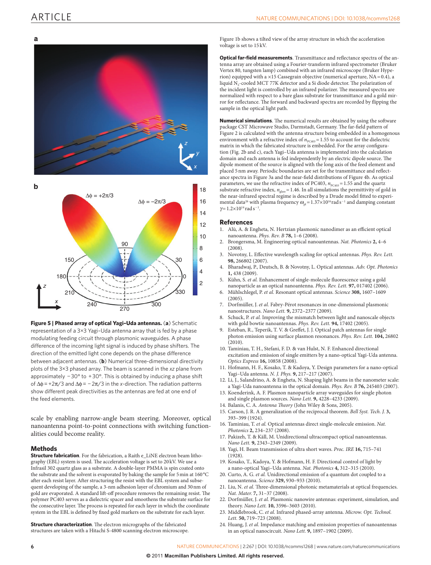### ARTICLE





<span id="page-5-10"></span>**Figure 5 | Phased array of optical Yagi–Uda antennas.** (**a**) Schematic representation of a 3×3 Yagi–Uda antenna array that is fed by a phase modulating feeding circuit through plasmonic waveguides. A phase difference of the incoming light signal is induced by phase shifters. The direction of the emitted light cone depends on the phase difference between adjacent antennas. (**b**) Numerical three-dimensional directivity plots of the 3×3 phased array. The beam is scanned in the *xz* plane from approximately −30° to +30°. This is obtained by inducing a phase shift of ∆φ=+2π/3 and ∆φ= −2π/3 in the *x*-direction. The radiation patterns show different peak directivities as the antennas are fed at one end of the feed elements.

scale by enabling narrow-angle beam steering. Moreover, optical nanoantenna point-to-point connections with switching functionalities could become reality.

#### **Methods**

**Structure fabrication**. For the fabrication, a Raith e\_LiNE electron beam lithography (EBL) system is used. The acceleration voltage is set to  $20\,\mathrm{kV}$  We use a Infrasil 302 quartz glass as a substrate. A double-layer PMMA is spin coated onto the substrate and the solvent is evaporated by baking the sample for 5min at 160°C after each resist layer. After structuring the resist with the EBL system and subsequent developing of the sample, a 3-nm adhesion layer of chromium and 30nm of gold are evaporated. A standard lift-off procedure removes the remaining resist. The polymer PC403 serves as a dielectric spacer and smoothens the substrate surface for the consecutive layer. The process is repeated for each layer in which the coordinate system in the EBL is defined by fixed gold markers on the substrate for each layer.

**Structure characterization**. The electron micrographs of the fabricated structures are taken with a Hitachi S-4800 scanning electron microscope. [Figure 1b](#page-1-0) shows a tilted view of the array structure in which the acceleration voltage is set to 15 kV.

**Optical far-field measurements**. Transmittance and reflectance spectra of the antenna array are obtained using a Fourier-transform infrared spectrometer (Bruker Vertex 80, tungsten lamp) combined with an infrared microscope (Bruker Hyperion) equipped with a  $\times 15$  Cassegrain objective (numerical aperture, NA=0.4), a liquid  $N<sub>2</sub>$ -cooled MCT 77K detector and a Si diode detector. The polarization of the incident light is controlled by an infrared polarizer. The measured spectra are normalized with respect to a bare glass substrate for transmittance and a gold mirror for reflectance. The forward and backward spectra are recorded by flipping the sample in the optical light path.

**Numerical simulations**. The numerical results are obtained by using the software package CST Microwave Studio, Darmstadt, Germany. The far-field pattern of [Figure 2](#page-2-0) is calculated with the antenna structure being embedded in a homogenous environment with a refractive index of  $n_{PCA03}=1.55$  to account for the dielectric matrix in which the fabricated structure is embedded. For the array configuration [\(Fig. 2b and c](#page-2-0)), each Yagi–Uda antenna is implemented into the calculation domain and each antenna is fed independently by an electric dipole source. The dipole moment of the source is aligned with the long axis of the feed element and placed 5nm away. Periodic boundaries are set for the transmittance and reflectance spectra in [Figure 3a](#page-3-0) and the near-field distributions of [Figure 4b](#page-4-0). As optical parameters, we use the refractive index of PC403,  $n_{\text{PC403}}$  = 1.55 and the quartz substrate refractive index,  $n_{\text{glass}}$ =1.46. In all simulations the permittivity of gold in the near-infrared spectral regime is described by a Drude model fitted to experi-mental data<sup>[26](#page-6-1)</sup> with plasma frequency  $\omega_{pl}$  = 1.37×10<sup>16</sup> rad s<sup>-1</sup> and damping constant  $γ=1.2\times10^{14}$  rad s<sup>-1</sup>.

#### **References**

- 1. Alù, A. & Engheta, N. Hertzian plasmonic nanodimer as an efficient optical nanoantenna. *Phys. Rev. B* **78,** 1–6 (2008).
- 2. Brongersma, M. Engineering optical nanoantennas. *Nat. Photonics* **2,** 4–6 (2008).
- 3. Novotny, L. Effective wavelength scaling for optical antennas. *Phys. Rev. Lett.* **98,** 266802 (2007).
- 4. Bharadwaj, P., Deutsch, B. & Novotny, L. Optical antennas. *Adv. Opt. Photonics* **1,** 438 (2009).
- 5. Kühn, S. *et al.* Enhancement of single-molecule fluorescence using a gold
- nanoparticle as an optical nanoantenna. *Phys. Rev. Lett.* **97,** 017402 (2006). 6. Mühlschlegel, P. *et al.* Resonant optical antennas. *Science* **308,** 1607–1609  $(2005)$
- 7. Dorfmüller, J. *et al.* Fabry-Pérot resonances in one-dimensional plasmonic nanostructures. *Nano Lett.* **9,** 2372–2377 (2009).
- <span id="page-5-0"></span>8. Schuck, P. *et al.* Improving the mismatch between light and nanoscale objects with gold bowtie nanoantennas. *Phys. Rev. Lett.* **94,** 17402 (2005).
- <span id="page-5-1"></span>9. Esteban, R., Teperik, T. V. & Greffet, J. J. Optical patch antennas for single photon emission using surface plasmon resonances. *Phys. Rev. Lett.* **104,** 26802  $(2010)$
- 10. Taminiau, T. H., Stefani, F. D. & van Hulst, N. F. Enhanced directional excitation and emission of single emitters by a nano-optical Yagi-Uda antenna. *Optics Express* **16,** 10858 (2008).
- <span id="page-5-7"></span>11. Hofmann, H. F., Kosako, T. & Kadoya, Y. Design parameters for a nano-optical Yagi–Uda antenna. *N. J. Phys.* **9,** 217–217 (2007).
- 12. Li, J., Salandrino, A. & Engheta, N. Shaping light beams in the nanometer scale: a Yagi-Uda nanoantenna in the optical domain. *Phys. Rev. B* **76,** 245403 (2007).
- 13. Koenderink, A. F. Plasmon nanoparticle array waveguides for single photon and single plasmon sources. *Nano Lett.* **9,** 4228–4233 (2009).
- <span id="page-5-2"></span>14. Balanis, C. A. *Antenna Theory* (John Wiley & Sons, 2005).
- 15. Carson, J. R. A generalization of the reciprocal theorem. *Bell Syst. Tech. J.* **3,** 393–399 (1924).
- 16. Taminiau, T. *et al.* Optical antennas direct single-molecule emission. *Nat. Photonics* **2,** 234–237 (2008).
- 17. Pakizeh, T. & Käll, M. Unidirectional ultracompact optical nanoantennas. *Nano Lett.* **9,** 2343–2349 (2009).
- <span id="page-5-3"></span>18. Yagi, H. Beam transmission of ultra short waves. *Proc. IRE* **16,** 715–741 (1928).
- <span id="page-5-5"></span>19. Kosako, T., Kadoya, Y. & Hofmann, H. F. Directional control of light by a nano-optical Yagi–Uda antenna. *Nat. Photonics* **4,** 312–315 (2010).
- <span id="page-5-6"></span>20. Curto, A. G. *et al.* Unidirectional emission of a quantum dot coupled to a nanoantenna. *Science* **329,** 930–933 (2010).
- <span id="page-5-4"></span>21. Liu, N. *et al.* Three-dimensional photonic metamaterials at optical frequencies. *Nat. Mater.* **7,** 31–37 (2008).
- <span id="page-5-8"></span>22. Dorfmüller, J. *et al.* Plasmonic nanowire antennas: experiment, simulation, and theory. *Nano Lett.* **10,** 3596–3603 (2010).
- <span id="page-5-9"></span>23. Middlebrook, C. *et al.* Infrared phased-array antenna. *Microw. Opt. Technol. Lett.* **50,** 719–723 (2008).
- <span id="page-5-11"></span>24. Huang, J. *et al.* Impedance matching and emission properties of nanoantennas in an optical nanocircuit. *Nano Lett.* **9,** 1897–1902 (2009).